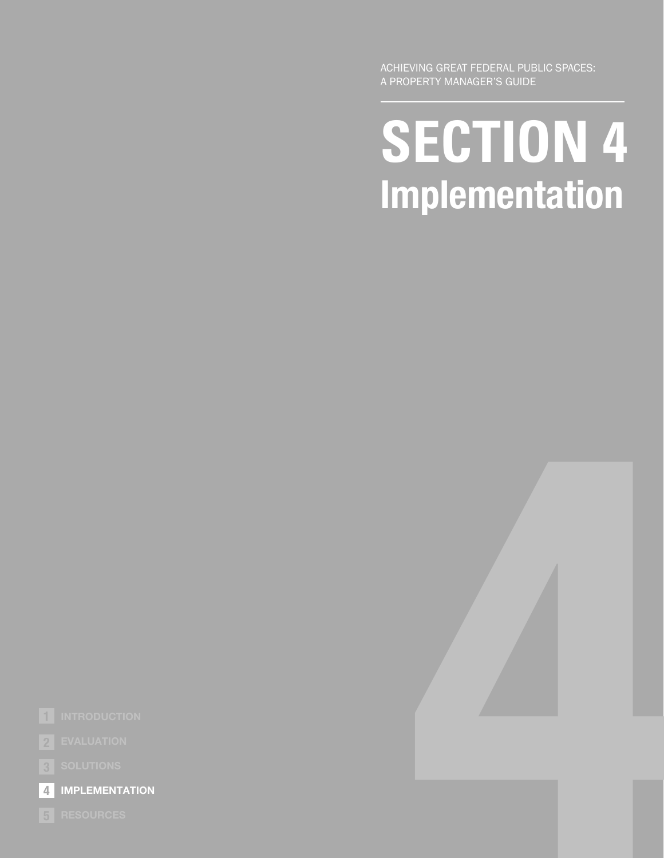ACHIEVING GREAT FEDERAL PUBLIC SPACES: A PROPERTY MANAGER'S GUIDE

# **SECTION 4 SECTION 4 Implementation**





**1** INTRODUCTION

**EVALUATION 2**

**IMPLEMENTATION 4**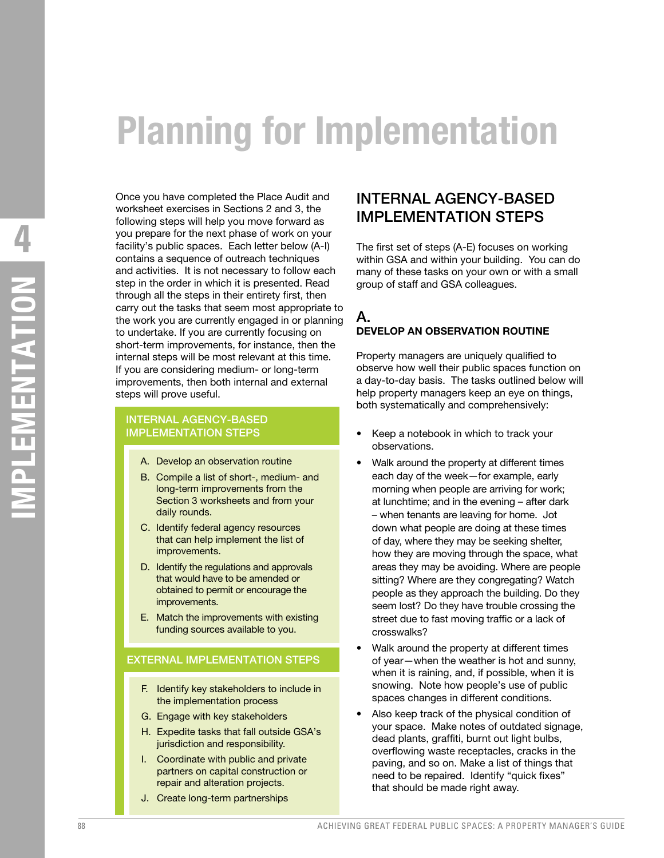# **Planning for Implementation**

Once you have completed the Place Audit and worksheet exercises in Sections 2 and 3, the following steps will help you move forward as you prepare for the next phase of work on your facility's public spaces. Each letter below (A-I) contains a sequence of outreach techniques and activities. It is not necessary to follow each step in the order in which it is presented. Read through all the steps in their entirety first, then carry out the tasks that seem most appropriate to the work you are currently engaged in or planning to undertake. If you are currently focusing on short-term improvements, for instance, then the internal steps will be most relevant at this time. If you are considering medium- or long-term improvements, then both internal and external steps will prove useful.

#### INTERNAL AGENCY-BASED IMPLEMENTATION STEPS

- A. Develop an observation routine
- B. Compile a list of short-, medium- and long-term improvements from the Section 3 worksheets and from your daily rounds.
- C. Identify federal agency resources that can help implement the list of improvements.
- D. Identify the regulations and approvals that would have to be amended or obtained to permit or encourage the improvements.
- E. Match the improvements with existing funding sources available to you.

#### EXTERNAL IMPLEMENTATION STEPS

- F. Identify key stakeholders to include in the implementation process
- G. Engage with key stakeholders
- H. Expedite tasks that fall outside GSA's jurisdiction and responsibility.
- I. Coordinate with public and private partners on capital construction or repair and alteration projects.
- J. Create long-term partnerships

# INTERNAL AGENCY-BASED IMPLEMENTATION STEPS

The first set of steps (A-E) focuses on working within GSA and within your building. You can do many of these tasks on your own or with a small group of staff and GSA colleagues.

#### A. **DEVELOP AN OBSERVATION ROUTINE**

Property managers are uniquely qualified to observe how well their public spaces function on a day-to-day basis. The tasks outlined below will help property managers keep an eye on things, both systematically and comprehensively:

- Keep a notebook in which to track your observations.
- Walk around the property at different times each day of the week—for example, early morning when people are arriving for work; at lunchtime; and in the evening – after dark – when tenants are leaving for home. Jot down what people are doing at these times of day, where they may be seeking shelter, how they are moving through the space, what areas they may be avoiding. Where are people sitting? Where are they congregating? Watch people as they approach the building. Do they seem lost? Do they have trouble crossing the street due to fast moving traffic or a lack of crosswalks?
- Walk around the property at different times of year—when the weather is hot and sunny, when it is raining, and, if possible, when it is snowing. Note how people's use of public spaces changes in different conditions.
- Also keep track of the physical condition of your space. Make notes of outdated signage, dead plants, graffiti, burnt out light bulbs, overflowing waste receptacles, cracks in the paving, and so on. Make a list of things that need to be repaired. Identify "quick fixes" that should be made right away.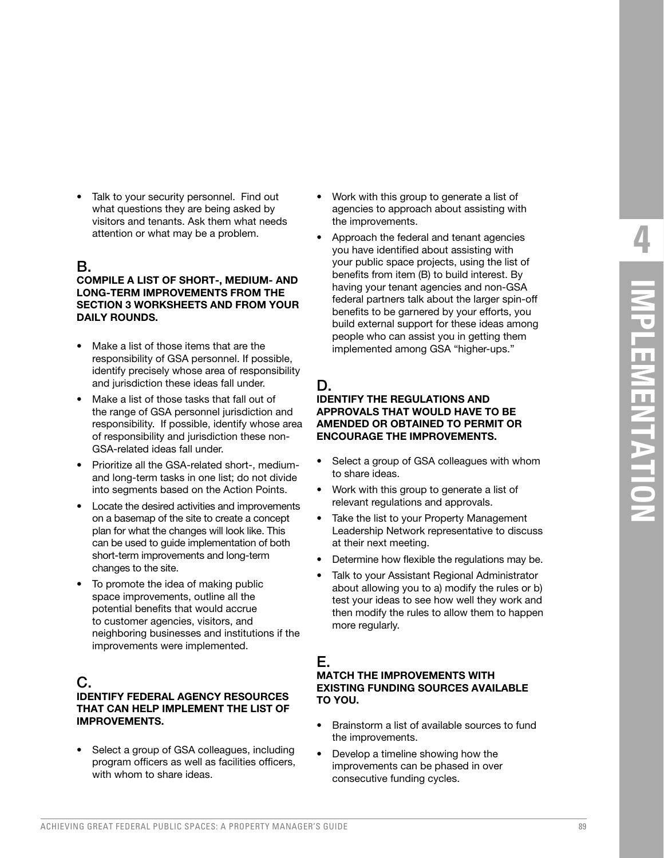Talk to your security personnel. Find out what questions they are being asked by visitors and tenants. Ask them what needs attention or what may be a problem.

## B.

**COMPILE A LIST OF SHORT-, MEDIUM- AND LONG-TERM IMPROVEMENTS FROM THE SECTION 3 WORKSHEETS AND FROM YOUR DAILY ROUNDS.**

- Make a list of those items that are the responsibility of GSA personnel. If possible, identify precisely whose area of responsibility and jurisdiction these ideas fall under.
- Make a list of those tasks that fall out of the range of GSA personnel jurisdiction and responsibility. If possible, identify whose area of responsibility and jurisdiction these non-GSA-related ideas fall under.
- Prioritize all the GSA-related short-, mediumand long-term tasks in one list; do not divide into segments based on the Action Points.
- Locate the desired activities and improvements on a basemap of the site to create a concept plan for what the changes will look like. This can be used to guide implementation of both short-term improvements and long-term changes to the site.
- To promote the idea of making public space improvements, outline all the potential benefits that would accrue to customer agencies, visitors, and neighboring businesses and institutions if the improvements were implemented.

#### C.

#### **IDENTIFY FEDERAL AGENCY RESOURCES THAT CAN HELP IMPLEMENT THE LIST OF IMPROVEMENTS.**

• Select a group of GSA colleagues, including program officers as well as facilities officers, with whom to share ideas.

- Work with this group to generate a list of agencies to approach about assisting with the improvements.
- Approach the federal and tenant agencies you have identified about assisting with your public space projects, using the list of benefits from item (B) to build interest. By having your tenant agencies and non-GSA federal partners talk about the larger spin-off benefits to be garnered by your efforts, you build external support for these ideas among people who can assist you in getting them implemented among GSA "higher-ups."

# D.

#### **IDENTIFY THE REGULATIONS AND APPROVALS THAT WOULD HAVE TO BE AMENDED OR OBTAINED TO PERMIT OR ENCOURAGE THE IMPROVEMENTS.**

- Select a group of GSA colleagues with whom to share ideas.
- Work with this group to generate a list of relevant regulations and approvals.
- Take the list to your Property Management Leadership Network representative to discuss at their next meeting.
- Determine how flexible the regulations may be.
- Talk to your Assistant Regional Administrator about allowing you to a) modify the rules or b) test your ideas to see how well they work and then modify the rules to allow them to happen more regularly.

# E.

#### **MATCH THE IMPROVEMENTS WITH EXISTING FUNDING SOURCES AVAILABLE TO YOU.**

- Brainstorm a list of available sources to fund the improvements.
- Develop a timeline showing how the improvements can be phased in over consecutive funding cycles.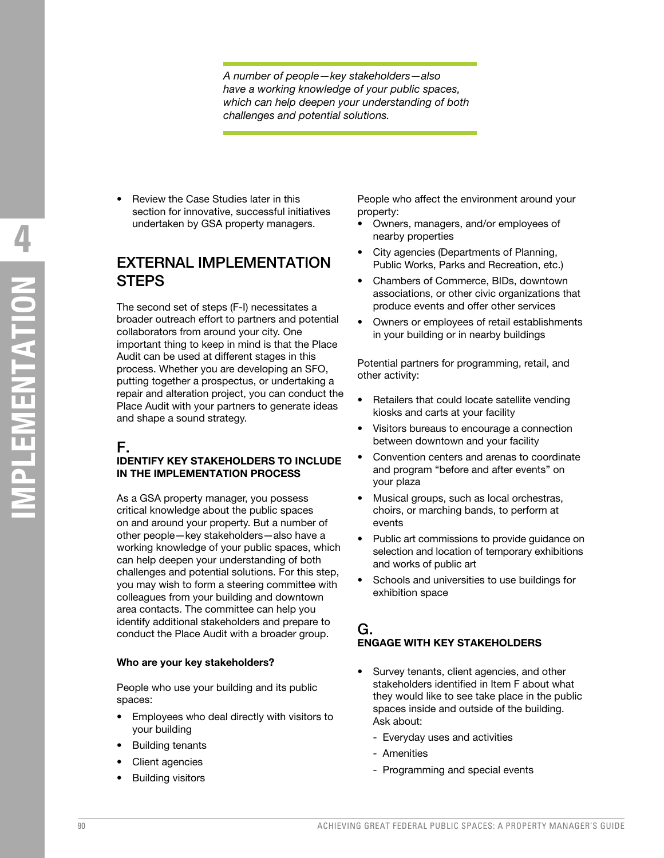*A number of people—key stakeholders—also have a working knowledge of your public spaces, which can help deepen your understanding of both challenges and potential solutions.* 

• Review the Case Studies later in this section for innovative, successful initiatives undertaken by GSA property managers.

# EXTERNAL IMPLEMENTATION **STEPS**

The second set of steps (F-I) necessitates a broader outreach effort to partners and potential collaborators from around your city. One important thing to keep in mind is that the Place Audit can be used at different stages in this process. Whether you are developing an SFO, putting together a prospectus, or undertaking a repair and alteration project, you can conduct the Place Audit with your partners to generate ideas and shape a sound strategy.

# F.

#### **IDENTIFY KEY STAKEHOLDERS TO INCLUDE IN THE IMPLEMENTATION PROCESS**

As a GSA property manager, you possess critical knowledge about the public spaces on and around your property. But a number of other people—key stakeholders—also have a working knowledge of your public spaces, which can help deepen your understanding of both challenges and potential solutions. For this step, you may wish to form a steering committee with colleagues from your building and downtown area contacts. The committee can help you identify additional stakeholders and prepare to conduct the Place Audit with a broader group.

#### **Who are your key stakeholders?**

People who use your building and its public spaces:

- Employees who deal directly with visitors to your building
- Building tenants
- Client agencies
- **Building visitors**

People who affect the environment around your property:

- Owners, managers, and/or employees of nearby properties
- City agencies (Departments of Planning, Public Works, Parks and Recreation, etc.)
- Chambers of Commerce, BIDs, downtown associations, or other civic organizations that produce events and offer other services
- Owners or employees of retail establishments in your building or in nearby buildings

Potential partners for programming, retail, and other activity:

- Retailers that could locate satellite vending kiosks and carts at your facility
- Visitors bureaus to encourage a connection between downtown and your facility
- Convention centers and arenas to coordinate and program "before and after events" on your plaza
- Musical groups, such as local orchestras, choirs, or marching bands, to perform at events
- Public art commissions to provide guidance on selection and location of temporary exhibitions and works of public art
- Schools and universities to use buildings for exhibition space

# G.

#### **ENGAGE WITH KEY STAKEHOLDERS**

- Survey tenants, client agencies, and other stakeholders identified in Item F about what they would like to see take place in the public spaces inside and outside of the building. Ask about:
	- Everyday uses and activities
	- Amenities
	- Programming and special events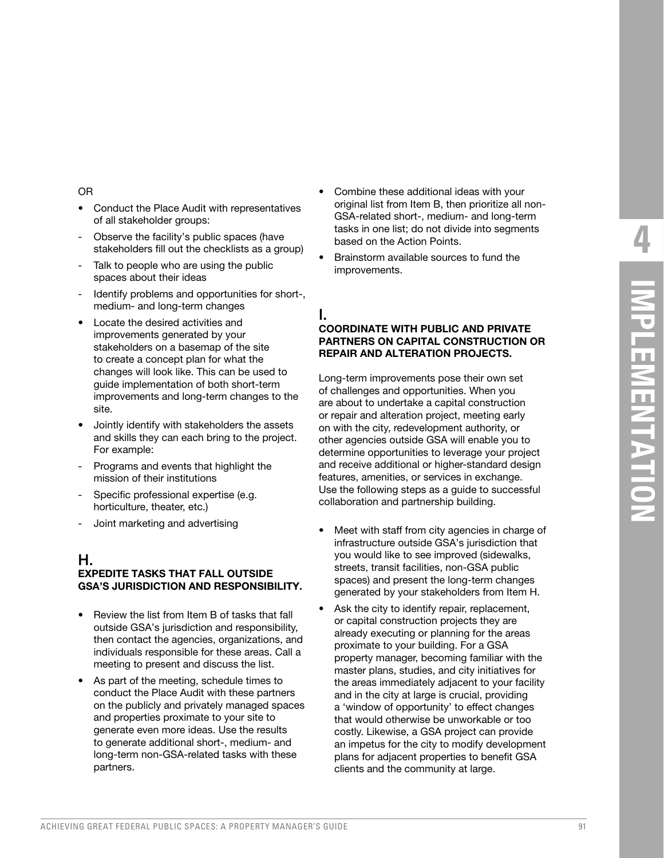#### OR

- Conduct the Place Audit with representatives of all stakeholder groups:
- Observe the facility's public spaces (have stakeholders fill out the checklists as a group)
- Talk to people who are using the public spaces about their ideas
- Identify problems and opportunities for short-, medium- and long-term changes
- Locate the desired activities and improvements generated by your stakeholders on a basemap of the site to create a concept plan for what the changes will look like. This can be used to guide implementation of both short-term improvements and long-term changes to the site.
- Jointly identify with stakeholders the assets and skills they can each bring to the project. For example:
- Programs and events that highlight the mission of their institutions
- Specific professional expertise (e.g. horticulture, theater, etc.)
- Joint marketing and advertising

#### H.

#### **EXPEDITE TASKS THAT FALL OUTSIDE GSA'S JURISDICTION AND RESPONSIBILITY.**

- Review the list from Item B of tasks that fall outside GSA's jurisdiction and responsibility, then contact the agencies, organizations, and individuals responsible for these areas. Call a meeting to present and discuss the list.
- As part of the meeting, schedule times to conduct the Place Audit with these partners on the publicly and privately managed spaces and properties proximate to your site to generate even more ideas. Use the results to generate additional short-, medium- and long-term non-GSA-related tasks with these partners.
- Combine these additional ideas with your original list from Item B, then prioritize all non-GSA-related short-, medium- and long-term tasks in one list; do not divide into segments based on the Action Points.
- Brainstorm available sources to fund the improvements.

# I.

#### **COORDINATE WITH PUBLIC AND PRIVATE PARTNERS ON CAPITAL CONSTRUCTION OR REPAIR AND ALTERATION PROJECTS.**

Long-term improvements pose their own set of challenges and opportunities. When you are about to undertake a capital construction or repair and alteration project, meeting early on with the city, redevelopment authority, or other agencies outside GSA will enable you to determine opportunities to leverage your project and receive additional or higher-standard design features, amenities, or services in exchange. Use the following steps as a guide to successful collaboration and partnership building.

- Meet with staff from city agencies in charge of infrastructure outside GSA's jurisdiction that you would like to see improved (sidewalks, streets, transit facilities, non-GSA public spaces) and present the long-term changes generated by your stakeholders from Item H.
- Ask the city to identify repair, replacement, or capital construction projects they are already executing or planning for the areas proximate to your building. For a GSA property manager, becoming familiar with the master plans, studies, and city initiatives for the areas immediately adjacent to your facility and in the city at large is crucial, providing a 'window of opportunity' to effect changes that would otherwise be unworkable or too costly. Likewise, a GSA project can provide an impetus for the city to modify development plans for adjacent properties to benefit GSA clients and the community at large.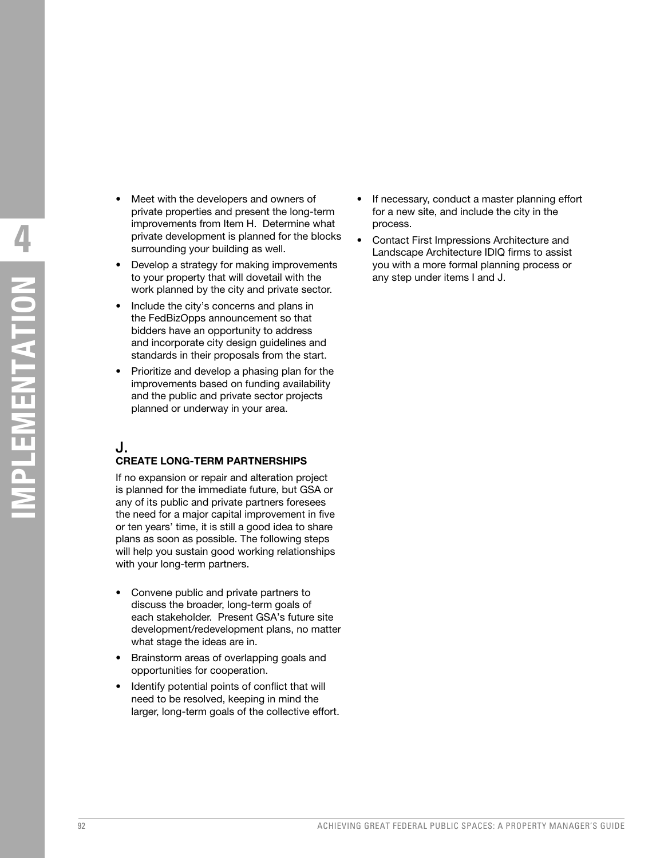- **MPLEMENTATION IMPLEMENTATION**
- Meet with the developers and owners of private properties and present the long-term improvements from Item H. Determine what private development is planned for the blocks surrounding your building as well.
- Develop a strategy for making improvements to your property that will dovetail with the work planned by the city and private sector.
- Include the city's concerns and plans in the FedBizOpps announcement so that bidders have an opportunity to address and incorporate city design guidelines and standards in their proposals from the start.
- Prioritize and develop a phasing plan for the improvements based on funding availability and the public and private sector projects planned or underway in your area.

# J.

#### **CREATE LONG-TERM PARTNERSHIPS**

If no expansion or repair and alteration project is planned for the immediate future, but GSA or any of its public and private partners foresees the need for a major capital improvement in five or ten years' time, it is still a good idea to share plans as soon as possible. The following steps will help you sustain good working relationships with your long-term partners.

- Convene public and private partners to discuss the broader, long-term goals of each stakeholder. Present GSA's future site development/redevelopment plans, no matter what stage the ideas are in.
- Brainstorm areas of overlapping goals and opportunities for cooperation.
- Identify potential points of conflict that will need to be resolved, keeping in mind the larger, long-term goals of the collective effort.
- If necessary, conduct a master planning effort for a new site, and include the city in the process.
- Contact First Impressions Architecture and Landscape Architecture IDIQ firms to assist you with a more formal planning process or any step under items I and J.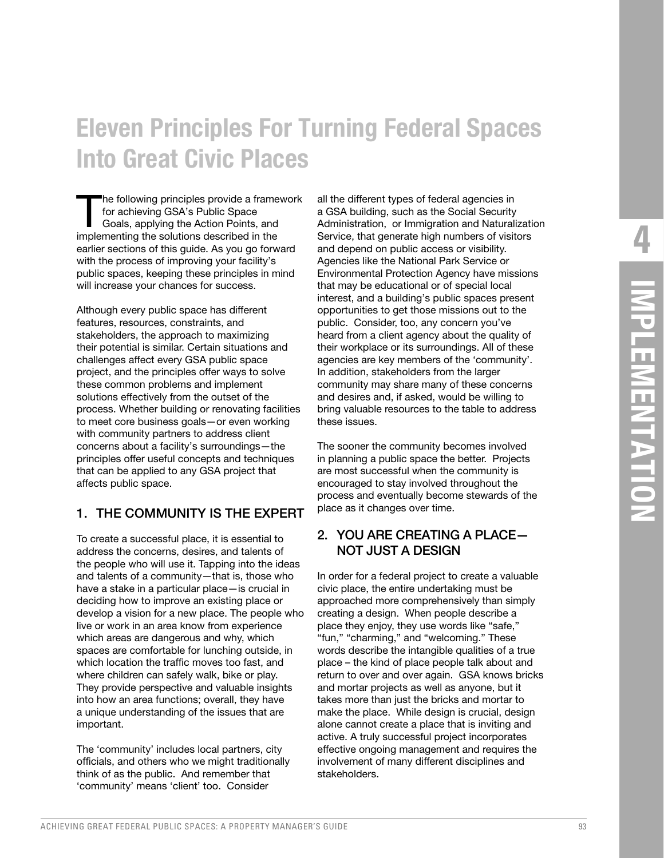# **Eleven Principles For Turning Federal Spaces Into Great Civic Places**

The following principles provide a framework for achieving GSA's Public Space Goals, applying the Action Points, and implementing the solutions described in the earlier sections of this guide. As you go forward with the process of improving your facility's public spaces, keeping these principles in mind will increase your chances for success.

Although every public space has different features, resources, constraints, and stakeholders, the approach to maximizing their potential is similar. Certain situations and challenges affect every GSA public space project, and the principles offer ways to solve these common problems and implement solutions effectively from the outset of the process. Whether building or renovating facilities to meet core business goals—or even working with community partners to address client concerns about a facility's surroundings—the principles offer useful concepts and techniques that can be applied to any GSA project that affects public space.

#### 1. THE COMMUNITY IS THE EXPERT

To create a successful place, it is essential to address the concerns, desires, and talents of the people who will use it. Tapping into the ideas and talents of a community—that is, those who have a stake in a particular place—is crucial in deciding how to improve an existing place or develop a vision for a new place. The people who live or work in an area know from experience which areas are dangerous and why, which spaces are comfortable for lunching outside, in which location the traffic moves too fast, and where children can safely walk, bike or play. They provide perspective and valuable insights into how an area functions; overall, they have a unique understanding of the issues that are important.

The 'community' includes local partners, city officials, and others who we might traditionally think of as the public. And remember that 'community' means 'client' too. Consider

all the different types of federal agencies in a GSA building, such as the Social Security Administration, or Immigration and Naturalization Service, that generate high numbers of visitors and depend on public access or visibility. Agencies like the National Park Service or Environmental Protection Agency have missions that may be educational or of special local interest, and a building's public spaces present opportunities to get those missions out to the public. Consider, too, any concern you've heard from a client agency about the quality of their workplace or its surroundings. All of these agencies are key members of the 'community'. In addition, stakeholders from the larger community may share many of these concerns and desires and, if asked, would be willing to bring valuable resources to the table to address these issues.

The sooner the community becomes involved in planning a public space the better. Projects are most successful when the community is encouraged to stay involved throughout the process and eventually become stewards of the place as it changes over time.

#### 2. YOU ARE CREATING A PLACE— NOT JUST A DESIGN

In order for a federal project to create a valuable civic place, the entire undertaking must be approached more comprehensively than simply creating a design. When people describe a place they enjoy, they use words like "safe," "fun," "charming," and "welcoming." These words describe the intangible qualities of a true place – the kind of place people talk about and return to over and over again. GSA knows bricks and mortar projects as well as anyone, but it takes more than just the bricks and mortar to make the place. While design is crucial, design alone cannot create a place that is inviting and active. A truly successful project incorporates effective ongoing management and requires the involvement of many different disciplines and stakeholders.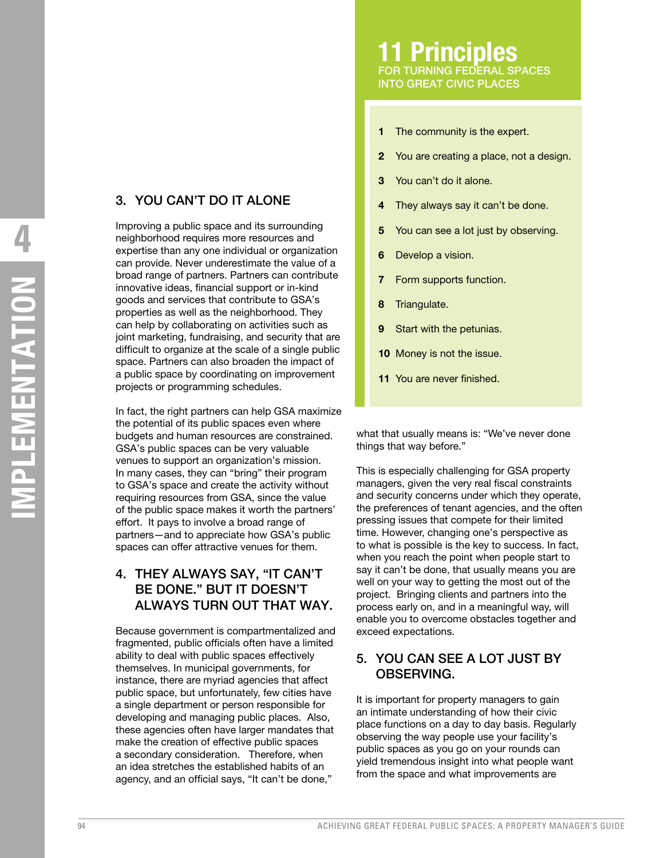# 3. YOU CAN'T DO IT ALONE

Improving a public space and its surrounding neighborhood requires more resources and expertise than any one individual or organization can provide. Never underestimate the value of a broad range of partners. Partners can contribute innovative ideas, financial support or in-kind goods and services that contribute to GSA's properties as well as the neighborhood. They can help by collaborating on activities such as joint marketing, fundraising, and security that are difficult to organize at the scale of a single public space. Partners can also broaden the impact of a public space by coordinating on improvement projects or programming schedules.

In fact, the right partners can help GSA maximize the potential of its public spaces even where budgets and human resources are constrained. GSA's public spaces can be very valuable venues to support an organization's mission. In many cases, they can "bring" their program to GSA's space and create the activity without requiring resources from GSA, since the value of the public space makes it worth the partners' effort. It pays to involve a broad range of partners—and to appreciate how GSA's public spaces can offer attractive venues for them.

## 4. THEY ALWAYS SAY, "IT CAN'T BE DONE." BUT IT DOESN'T ALWAYS TURN OUT THAT WAY.

Because government is compartmentalized and fragmented, public officials often have a limited ability to deal with public spaces effectively themselves. In municipal governments, for instance, there are myriad agencies that affect public space, but unfortunately, few cities have a single department or person responsible for developing and managing public places. Also, these agencies often have larger mandates that make the creation of effective public spaces a secondary consideration. Therefore, when an idea stretches the established habits of an agency, and an official says, "It can't be done,"

- The community is the expert. **1**
- You are creating a place, not a design. **2**
- You can't do it alone. **3**
- They always say it can't be done. **4**
- You can see a lot just by observing. **5**
- Develop a vision. **6**
- Form supports function. **7**
- Triangulate. **8**
- Start with the petunias. **9**
- 10 Money is not the issue.
- 11 You are never finished.

what that usually means is: "We've never done things that way before."

This is especially challenging for GSA property managers, given the very real fiscal constraints and security concerns under which they operate, the preferences of tenant agencies, and the often pressing issues that compete for their limited time. However, changing one's perspective as to what is possible is the key to success. In fact, when you reach the point when people start to say it can't be done, that usually means you are well on your way to getting the most out of the project. Bringing clients and partners into the process early on, and in a meaningful way, will enable you to overcome obstacles together and exceed expectations.

## 5. YOU CAN SEE A LOT JUST BY OBSERVING.

It is important for property managers to gain an intimate understanding of how their civic place functions on a day to day basis. Regularly observing the way people use your facility's public spaces as you go on your rounds can yield tremendous insight into what people want from the space and what improvements are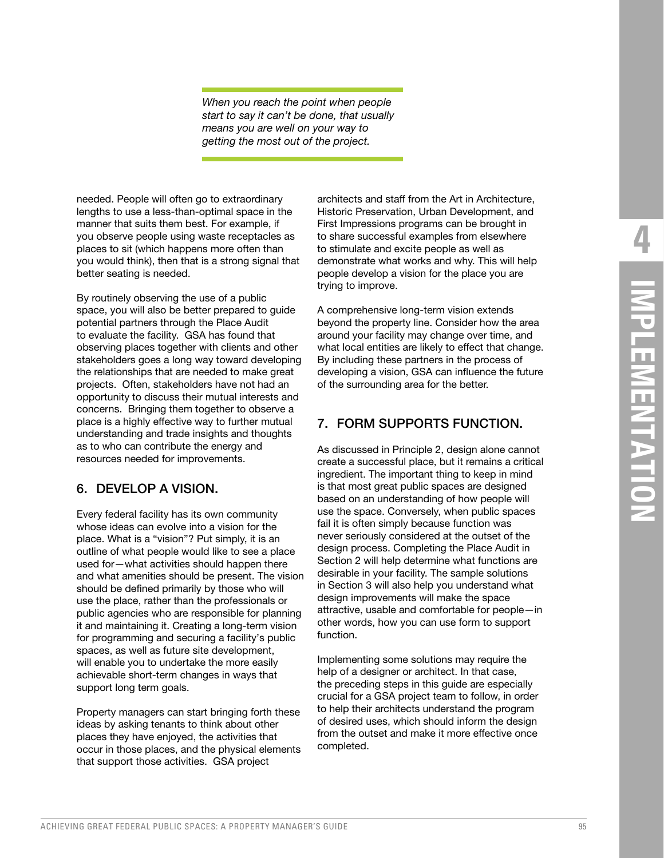*When you reach the point when people start to say it can't be done, that usually means you are well on your way to getting the most out of the project.*

needed. People will often go to extraordinary lengths to use a less-than-optimal space in the manner that suits them best. For example, if you observe people using waste receptacles as places to sit (which happens more often than you would think), then that is a strong signal that better seating is needed.

By routinely observing the use of a public space, you will also be better prepared to guide potential partners through the Place Audit to evaluate the facility. GSA has found that observing places together with clients and other stakeholders goes a long way toward developing the relationships that are needed to make great projects. Often, stakeholders have not had an opportunity to discuss their mutual interests and concerns. Bringing them together to observe a place is a highly effective way to further mutual understanding and trade insights and thoughts as to who can contribute the energy and resources needed for improvements.

#### 6. DEVELOP A VISION.

Every federal facility has its own community whose ideas can evolve into a vision for the place. What is a "vision"? Put simply, it is an outline of what people would like to see a place used for—what activities should happen there and what amenities should be present. The vision should be defined primarily by those who will use the place, rather than the professionals or public agencies who are responsible for planning it and maintaining it. Creating a long-term vision for programming and securing a facility's public spaces, as well as future site development, will enable you to undertake the more easily achievable short-term changes in ways that support long term goals.

Property managers can start bringing forth these ideas by asking tenants to think about other places they have enjoyed, the activities that occur in those places, and the physical elements that support those activities. GSA project

architects and staff from the Art in Architecture, Historic Preservation, Urban Development, and First Impressions programs can be brought in to share successful examples from elsewhere to stimulate and excite people as well as demonstrate what works and why. This will help people develop a vision for the place you are trying to improve.

A comprehensive long-term vision extends beyond the property line. Consider how the area around your facility may change over time, and what local entities are likely to effect that change. By including these partners in the process of developing a vision, GSA can influence the future of the surrounding area for the better.

#### 7. FORM SUPPORTS FUNCTION.

As discussed in Principle 2, design alone cannot create a successful place, but it remains a critical ingredient. The important thing to keep in mind is that most great public spaces are designed based on an understanding of how people will use the space. Conversely, when public spaces fail it is often simply because function was never seriously considered at the outset of the design process. Completing the Place Audit in Section 2 will help determine what functions are desirable in your facility. The sample solutions in Section 3 will also help you understand what design improvements will make the space attractive, usable and comfortable for people—in other words, how you can use form to support function.

Implementing some solutions may require the help of a designer or architect. In that case, the preceding steps in this guide are especially crucial for a GSA project team to follow, in order to help their architects understand the program of desired uses, which should inform the design from the outset and make it more effective once completed.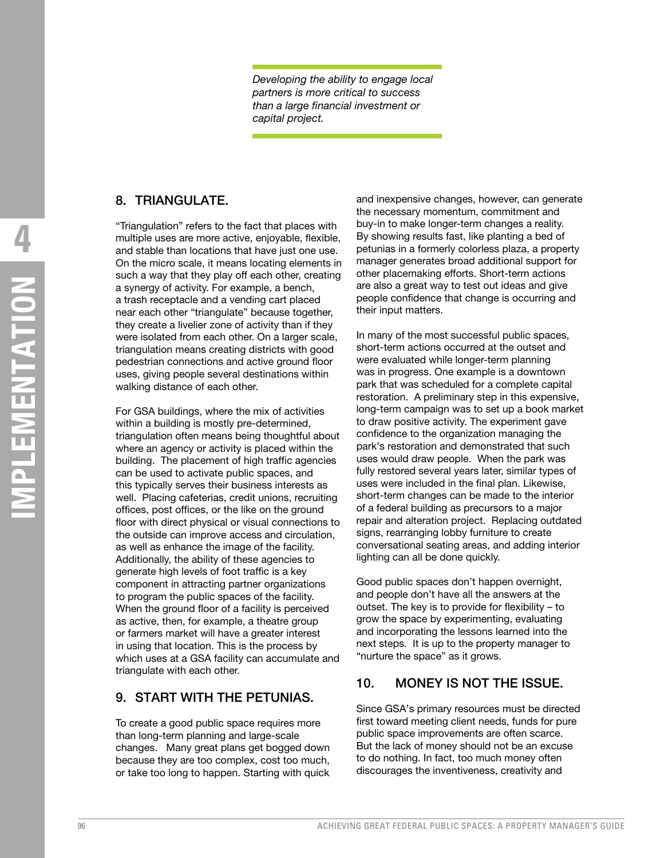*Developing the ability to engage local partners is more critical to success than a large financial investment or capital project.*

#### 8. TRIANGULATE.

"Triangulation" refers to the fact that places with multiple uses are more active, enjoyable, flexible, and stable than locations that have just one use. On the micro scale, it means locating elements in such a way that they play off each other, creating a synergy of activity. For example, a bench, a trash receptacle and a vending cart placed near each other "triangulate" because together, they create a livelier zone of activity than if they were isolated from each other. On a larger scale, triangulation means creating districts with good pedestrian connections and active ground floor uses, giving people several destinations within walking distance of each other.

For GSA buildings, where the mix of activities within a building is mostly pre-determined, triangulation often means being thoughtful about where an agency or activity is placed within the building. The placement of high traffic agencies can be used to activate public spaces, and this typically serves their business interests as well. Placing cafeterias, credit unions, recruiting offices, post offices, or the like on the ground floor with direct physical or visual connections to the outside can improve access and circulation, as well as enhance the image of the facility. Additionally, the ability of these agencies to generate high levels of foot traffic is a key component in attracting partner organizations to program the public spaces of the facility. When the ground floor of a facility is perceived as active, then, for example, a theatre group or farmers market will have a greater interest in using that location. This is the process by which uses at a GSA facility can accumulate and triangulate with each other.

#### 9. START WITH THE PETUNIAS.

To create a good public space requires more than long-term planning and large-scale changes. Many great plans get bogged down because they are too complex, cost too much, or take too long to happen. Starting with quick and inexpensive changes, however, can generate the necessary momentum, commitment and buy-in to make longer-term changes a reality. By showing results fast, like planting a bed of petunias in a formerly colorless plaza, a property manager generates broad additional support for other placemaking efforts. Short-term actions are also a great way to test out ideas and give people confidence that change is occurring and their input matters.

In many of the most successful public spaces, short-term actions occurred at the outset and were evaluated while longer-term planning was in progress. One example is a downtown park that was scheduled for a complete capital restoration. A preliminary step in this expensive, long-term campaign was to set up a book market to draw positive activity. The experiment gave confidence to the organization managing the park's restoration and demonstrated that such uses would draw people. When the park was fully restored several years later, similar types of uses were included in the final plan. Likewise, short-term changes can be made to the interior of a federal building as precursors to a major repair and alteration project. Replacing outdated signs, rearranging lobby furniture to create conversational seating areas, and adding interior lighting can all be done quickly.

Good public spaces don't happen overnight, and people don't have all the answers at the outset. The key is to provide for flexibility – to grow the space by experimenting, evaluating and incorporating the lessons learned into the next steps. It is up to the property manager to "nurture the space" as it grows.

#### 10. MONEY IS NOT THE ISSUE.

Since GSA's primary resources must be directed first toward meeting client needs, funds for pure public space improvements are often scarce. But the lack of money should not be an excuse to do nothing. In fact, too much money often discourages the inventiveness, creativity and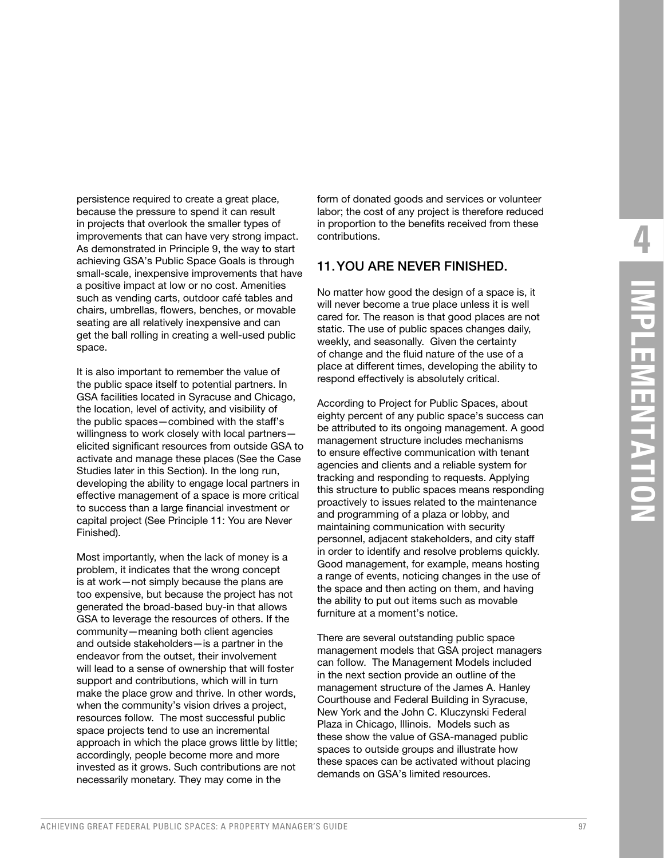persistence required to create a great place, because the pressure to spend it can result in projects that overlook the smaller types of improvements that can have very strong impact. As demonstrated in Principle 9, the way to start achieving GSA's Public Space Goals is through small-scale, inexpensive improvements that have a positive impact at low or no cost. Amenities such as vending carts, outdoor café tables and chairs, umbrellas, flowers, benches, or movable seating are all relatively inexpensive and can get the ball rolling in creating a well-used public space.

It is also important to remember the value of the public space itself to potential partners. In GSA facilities located in Syracuse and Chicago, the location, level of activity, and visibility of the public spaces—combined with the staff's willingness to work closely with local partners elicited significant resources from outside GSA to activate and manage these places (See the Case Studies later in this Section). In the long run, developing the ability to engage local partners in effective management of a space is more critical to success than a large financial investment or capital project (See Principle 11: You are Never Finished).

Most importantly, when the lack of money is a problem, it indicates that the wrong concept is at work—not simply because the plans are too expensive, but because the project has not generated the broad-based buy-in that allows GSA to leverage the resources of others. If the community—meaning both client agencies and outside stakeholders—is a partner in the endeavor from the outset, their involvement will lead to a sense of ownership that will foster support and contributions, which will in turn make the place grow and thrive. In other words, when the community's vision drives a project, resources follow. The most successful public space projects tend to use an incremental approach in which the place grows little by little; accordingly, people become more and more invested as it grows. Such contributions are not necessarily monetary. They may come in the

form of donated goods and services or volunteer labor; the cost of any project is therefore reduced in proportion to the benefits received from these contributions.

#### 11. YOU ARE NEVER FINISHED.

No matter how good the design of a space is, it will never become a true place unless it is well cared for. The reason is that good places are not static. The use of public spaces changes daily, weekly, and seasonally. Given the certainty of change and the fluid nature of the use of a place at different times, developing the ability to respond effectively is absolutely critical.

According to Project for Public Spaces, about eighty percent of any public space's success can be attributed to its ongoing management. A good management structure includes mechanisms to ensure effective communication with tenant agencies and clients and a reliable system for tracking and responding to requests. Applying this structure to public spaces means responding proactively to issues related to the maintenance and programming of a plaza or lobby, and maintaining communication with security personnel, adjacent stakeholders, and city staff in order to identify and resolve problems quickly. Good management, for example, means hosting a range of events, noticing changes in the use of the space and then acting on them, and having the ability to put out items such as movable furniture at a moment's notice.

There are several outstanding public space management models that GSA project managers can follow. The Management Models included in the next section provide an outline of the management structure of the James A. Hanley Courthouse and Federal Building in Syracuse, New York and the John C. Kluczynski Federal Plaza in Chicago, Illinois. Models such as these show the value of GSA-managed public spaces to outside groups and illustrate how these spaces can be activated without placing demands on GSA's limited resources.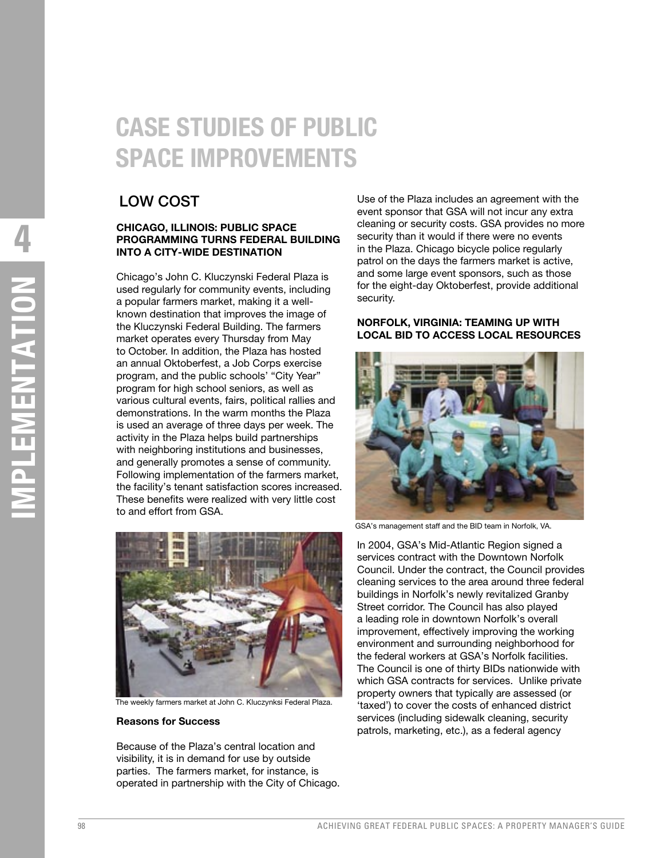# **CASE STUDIES OF PUBLIC SPACE IMPROVEMENTS**

# LOW COST

#### **CHICAGO, ILLINOIS: PUBLIC SPACE PROGRAMMING TURNS FEDERAL BUILDING INTO A CITY-WIDE DESTINATION**

Chicago's John C. Kluczynski Federal Plaza is used regularly for community events, including a popular farmers market, making it a wellknown destination that improves the image of the Kluczynski Federal Building. The farmers market operates every Thursday from May to October. In addition, the Plaza has hosted an annual Oktoberfest, a Job Corps exercise program, and the public schools' "City Year" program for high school seniors, as well as various cultural events, fairs, political rallies and demonstrations. In the warm months the Plaza is used an average of three days per week. The activity in the Plaza helps build partnerships with neighboring institutions and businesses, and generally promotes a sense of community. Following implementation of the farmers market, the facility's tenant satisfaction scores increased. These benefits were realized with very little cost to and effort from GSA.



The weekly farmers market at John C. Kluczynksi Federal Plaza.

#### **Reasons for Success**

Because of the Plaza's central location and visibility, it is in demand for use by outside parties. The farmers market, for instance, is operated in partnership with the City of Chicago. Use of the Plaza includes an agreement with the event sponsor that GSA will not incur any extra cleaning or security costs. GSA provides no more security than it would if there were no events in the Plaza. Chicago bicycle police regularly patrol on the days the farmers market is active, and some large event sponsors, such as those for the eight-day Oktoberfest, provide additional security.

#### **NORFOLK, VIRGINIA: TEAMING UP WITH LOCAL BID TO ACCESS LOCAL RESOURCES**



GSA's management staff and the BID team in Norfolk, VA.

In 2004, GSA's Mid-Atlantic Region signed a services contract with the Downtown Norfolk Council. Under the contract, the Council provides cleaning services to the area around three federal buildings in Norfolk's newly revitalized Granby Street corridor. The Council has also played a leading role in downtown Norfolk's overall improvement, effectively improving the working environment and surrounding neighborhood for the federal workers at GSA's Norfolk facilities. The Council is one of thirty BIDs nationwide with which GSA contracts for services. Unlike private property owners that typically are assessed (or 'taxed') to cover the costs of enhanced district services (including sidewalk cleaning, security patrols, marketing, etc.), as a federal agency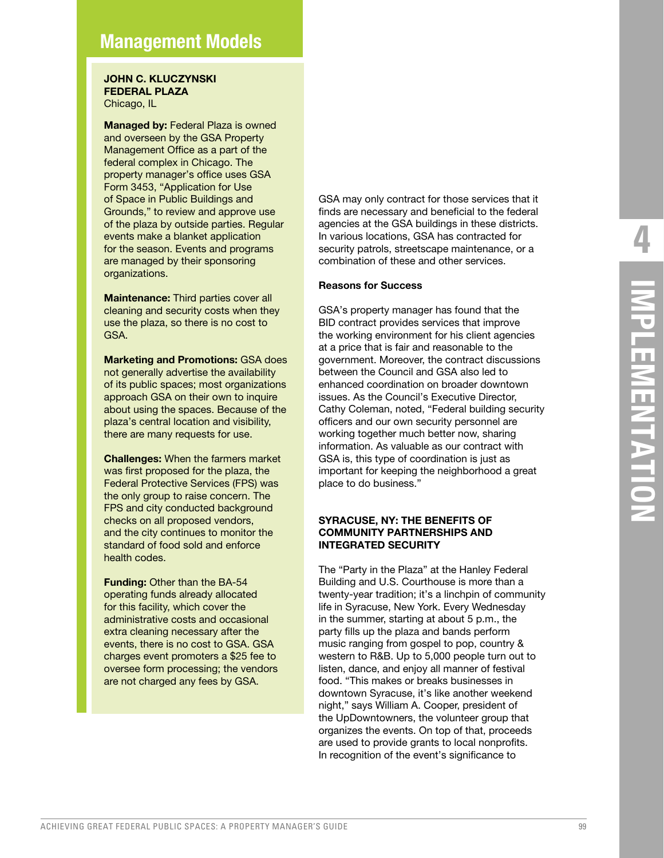# **Management Models**

#### **JOHN C. KLUCZYNSKI FEDERAL PLAZA**

Chicago, IL

**Managed by:** Federal Plaza is owned and overseen by the GSA Property Management Office as a part of the federal complex in Chicago. The property manager's office uses GSA Form 3453, "Application for Use of Space in Public Buildings and Grounds," to review and approve use of the plaza by outside parties. Regular events make a blanket application for the season. Events and programs are managed by their sponsoring organizations.

**Maintenance:** Third parties cover all cleaning and security costs when they use the plaza, so there is no cost to GSA.

**Marketing and Promotions:** GSA does not generally advertise the availability of its public spaces; most organizations approach GSA on their own to inquire about using the spaces. Because of the plaza's central location and visibility, there are many requests for use.

**Challenges:** When the farmers market was first proposed for the plaza, the Federal Protective Services (FPS) was the only group to raise concern. The FPS and city conducted background checks on all proposed vendors, and the city continues to monitor the standard of food sold and enforce health codes.

**Funding:** Other than the BA-54 operating funds already allocated for this facility, which cover the administrative costs and occasional extra cleaning necessary after the events, there is no cost to GSA. GSA charges event promoters a \$25 fee to oversee form processing; the vendors are not charged any fees by GSA.

GSA may only contract for those services that it finds are necessary and beneficial to the federal agencies at the GSA buildings in these districts. In various locations, GSA has contracted for security patrols, streetscape maintenance, or a combination of these and other services.

#### **Reasons for Success**

GSA's property manager has found that the BID contract provides services that improve the working environment for his client agencies at a price that is fair and reasonable to the government. Moreover, the contract discussions between the Council and GSA also led to enhanced coordination on broader downtown issues. As the Council's Executive Director, Cathy Coleman, noted, "Federal building security officers and our own security personnel are working together much better now, sharing information. As valuable as our contract with GSA is, this type of coordination is just as important for keeping the neighborhood a great place to do business."

#### **SYRACUSE, NY: THE BENEFITS OF COMMUNITY PARTNERSHIPS AND INTEGRATED SECURITY**

The "Party in the Plaza" at the Hanley Federal Building and U.S. Courthouse is more than a twenty-year tradition; it's a linchpin of community life in Syracuse, New York. Every Wednesday in the summer, starting at about 5 p.m., the party fills up the plaza and bands perform music ranging from gospel to pop, country & western to R&B. Up to 5,000 people turn out to listen, dance, and enjoy all manner of festival food. "This makes or breaks businesses in downtown Syracuse, it's like another weekend night," says William A. Cooper, president of the UpDowntowners, the volunteer group that organizes the events. On top of that, proceeds are used to provide grants to local nonprofits. In recognition of the event's significance to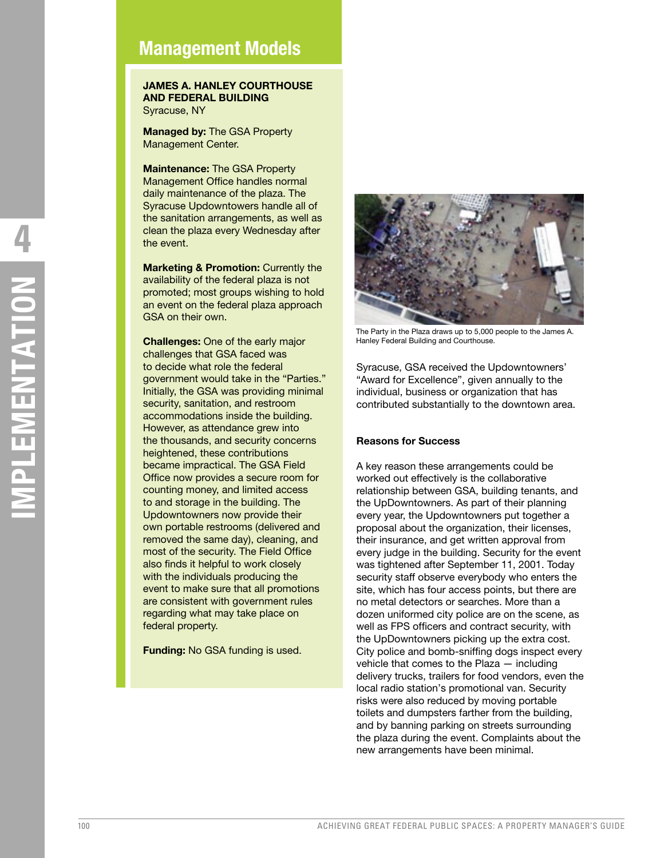# **Management Models**

#### **JAMES A. HANLEY COURTHOUSE AND FEDERAL BUILDING** Syracuse, NY

**Managed by:** The GSA Property Management Center.

**Maintenance:** The GSA Property Management Office handles normal daily maintenance of the plaza. The Syracuse Updowntowers handle all of the sanitation arrangements, as well as clean the plaza every Wednesday after the event.

**Marketing & Promotion: Currently the** availability of the federal plaza is not promoted; most groups wishing to hold an event on the federal plaza approach GSA on their own.

**Challenges:** One of the early major challenges that GSA faced was to decide what role the federal government would take in the "Parties." Initially, the GSA was providing minimal security, sanitation, and restroom accommodations inside the building. However, as attendance grew into the thousands, and security concerns heightened, these contributions became impractical. The GSA Field Office now provides a secure room for counting money, and limited access to and storage in the building. The Updowntowners now provide their own portable restrooms (delivered and removed the same day), cleaning, and most of the security. The Field Office also finds it helpful to work closely with the individuals producing the event to make sure that all promotions are consistent with government rules regarding what may take place on federal property.

**Funding:** No GSA funding is used.



The Party in the Plaza draws up to 5,000 people to the James A. Hanley Federal Building and Courthouse.

Syracuse, GSA received the Updowntowners' "Award for Excellence", given annually to the individual, business or organization that has contributed substantially to the downtown area.

#### **Reasons for Success**

A key reason these arrangements could be worked out effectively is the collaborative relationship between GSA, building tenants, and the UpDowntowners. As part of their planning every year, the Updowntowners put together a proposal about the organization, their licenses, their insurance, and get written approval from every judge in the building. Security for the event was tightened after September 11, 2001. Today security staff observe everybody who enters the site, which has four access points, but there are no metal detectors or searches. More than a dozen uniformed city police are on the scene, as well as FPS officers and contract security, with the UpDowntowners picking up the extra cost. City police and bomb-sniffing dogs inspect every vehicle that comes to the Plaza — including delivery trucks, trailers for food vendors, even the local radio station's promotional van. Security risks were also reduced by moving portable toilets and dumpsters farther from the building, and by banning parking on streets surrounding the plaza during the event. Complaints about the new arrangements have been minimal.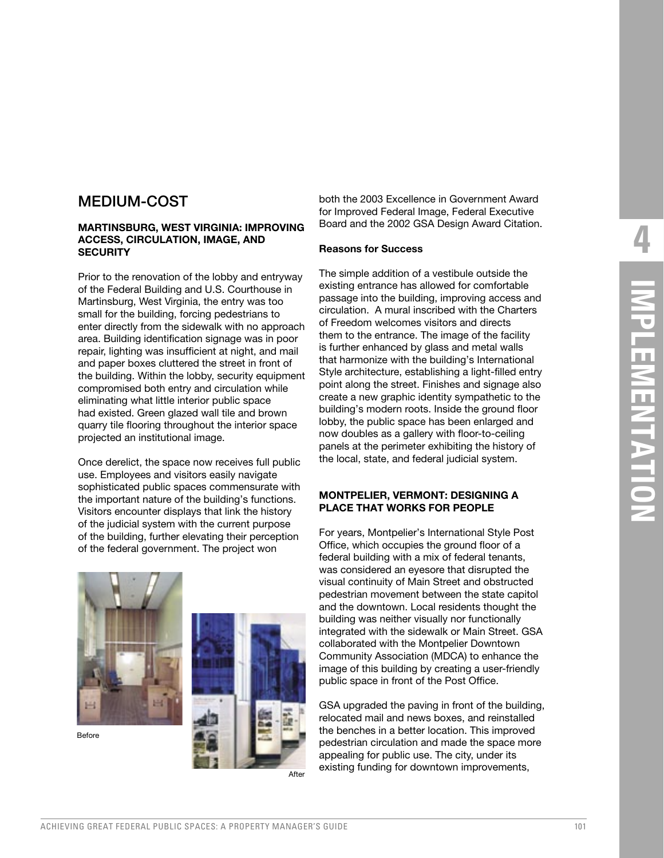# MEDIUM-COST

#### **MARTINSBURG, WEST VIRGINIA: IMPROVING ACCESS, CIRCULATION, IMAGE, AND SECURITY**

Prior to the renovation of the lobby and entryway of the Federal Building and U.S. Courthouse in Martinsburg, West Virginia, the entry was too small for the building, forcing pedestrians to enter directly from the sidewalk with no approach area. Building identification signage was in poor repair, lighting was insufficient at night, and mail and paper boxes cluttered the street in front of the building. Within the lobby, security equipment compromised both entry and circulation while eliminating what little interior public space had existed. Green glazed wall tile and brown quarry tile flooring throughout the interior space projected an institutional image.

Once derelict, the space now receives full public use. Employees and visitors easily navigate sophisticated public spaces commensurate with the important nature of the building's functions. Visitors encounter displays that link the history of the judicial system with the current purpose of the building, further elevating their perception of the federal government. The project won

both the 2003 Excellence in Government Award for Improved Federal Image, Federal Executive Board and the 2002 GSA Design Award Citation.

#### **Reasons for Success**

The simple addition of a vestibule outside the existing entrance has allowed for comfortable passage into the building, improving access and circulation. A mural inscribed with the Charters of Freedom welcomes visitors and directs them to the entrance. The image of the facility is further enhanced by glass and metal walls that harmonize with the building's International Style architecture, establishing a light-filled entry point along the street. Finishes and signage also create a new graphic identity sympathetic to the building's modern roots. Inside the ground floor lobby, the public space has been enlarged and now doubles as a gallery with floor-to-ceiling panels at the perimeter exhibiting the history of the local, state, and federal judicial system.

#### **MONTPELIER, VERMONT: DESIGNING A PLACE THAT WORKS FOR PEOPLE**

For years, Montpelier's International Style Post Office, which occupies the ground floor of a federal building with a mix of federal tenants, was considered an eyesore that disrupted the visual continuity of Main Street and obstructed pedestrian movement between the state capitol and the downtown. Local residents thought the building was neither visually nor functionally integrated with the sidewalk or Main Street. GSA collaborated with the Montpelier Downtown Community Association (MDCA) to enhance the image of this building by creating a user-friendly public space in front of the Post Office.

GSA upgraded the paving in front of the building, relocated mail and news boxes, and reinstalled the benches in a better location. This improved pedestrian circulation and made the space more appealing for public use. The city, under its existing funding for downtown improvements,



Before

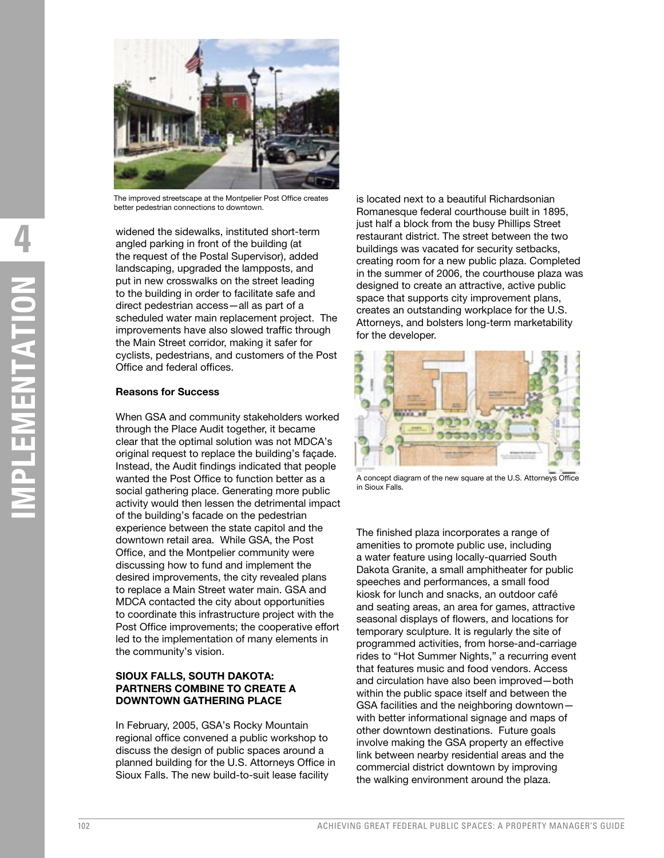

The improved streetscape at the Montpelier Post Office creates better pedestrian connections to downtown.

widened the sidewalks, instituted short-term angled parking in front of the building (at the request of the Postal Supervisor), added landscaping, upgraded the lampposts, and put in new crosswalks on the street leading to the building in order to facilitate safe and direct pedestrian access—all as part of a scheduled water main replacement project. The improvements have also slowed traffic through the Main Street corridor, making it safer for cyclists, pedestrians, and customers of the Post Office and federal offices.

#### **Reasons for Success**

When GSA and community stakeholders worked through the Place Audit together, it became clear that the optimal solution was not MDCA's original request to replace the building's façade. Instead, the Audit findings indicated that people wanted the Post Office to function better as a social gathering place. Generating more public activity would then lessen the detrimental impact of the building's facade on the pedestrian experience between the state capitol and the downtown retail area. While GSA, the Post Office, and the Montpelier community were discussing how to fund and implement the desired improvements, the city revealed plans to replace a Main Street water main. GSA and MDCA contacted the city about opportunities to coordinate this infrastructure project with the Post Office improvements; the cooperative effort led to the implementation of many elements in the community's vision.

#### **SIOUX FALLS, SOUTH DAKOTA: PARTNERS COMBINE TO CREATE A DOWNTOWN GATHERING PLACE**

In February, 2005, GSA's Rocky Mountain regional office convened a public workshop to discuss the design of public spaces around a planned building for the U.S. Attorneys Office in Sioux Falls. The new build-to-suit lease facility

is located next to a beautiful Richardsonian Romanesque federal courthouse built in 1895, just half a block from the busy Phillips Street restaurant district. The street between the two buildings was vacated for security setbacks, creating room for a new public plaza. Completed in the summer of 2006, the courthouse plaza was designed to create an attractive, active public space that supports city improvement plans, creates an outstanding workplace for the U.S. Attorneys, and bolsters long-term marketability for the developer.



A concept diagram of the new square at the U.S. Attorneys Office in Sioux Falls.

The finished plaza incorporates a range of amenities to promote public use, including a water feature using locally-quarried South Dakota Granite, a small amphitheater for public speeches and performances, a small food kiosk for lunch and snacks, an outdoor café and seating areas, an area for games, attractive seasonal displays of flowers, and locations for temporary sculpture. It is regularly the site of programmed activities, from horse-and-carriage rides to "Hot Summer Nights," a recurring event that features music and food vendors. Access and circulation have also been improved—both within the public space itself and between the GSA facilities and the neighboring downtown with better informational signage and maps of other downtown destinations. Future goals involve making the GSA property an effective link between nearby residential areas and the commercial district downtown by improving the walking environment around the plaza.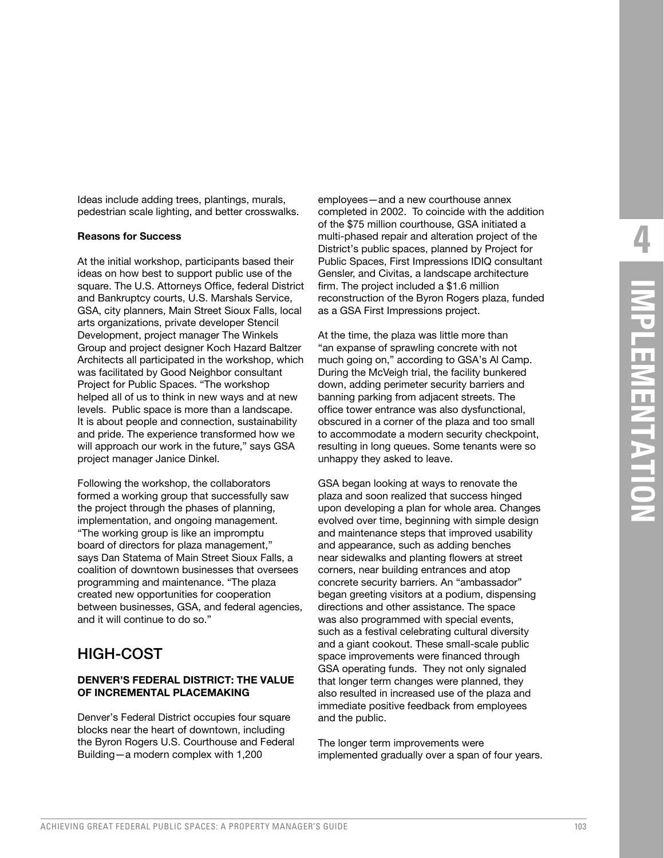Ideas include adding trees, plantings, murals, pedestrian scale lighting, and better crosswalks.

#### **Reasons for Success**

At the initial workshop, participants based their ideas on how best to support public use of the square. The U.S. Attorneys Office, federal District and Bankruptcy courts, U.S. Marshals Service, GSA, city planners, Main Street Sioux Falls, local arts organizations, private developer Stencil Development, project manager The Winkels Group and project designer Koch Hazard Baltzer Architects all participated in the workshop, which was facilitated by Good Neighbor consultant Project for Public Spaces. "The workshop helped all of us to think in new ways and at new levels. Public space is more than a landscape. It is about people and connection, sustainability and pride. The experience transformed how we will approach our work in the future," says GSA project manager Janice Dinkel.

Following the workshop, the collaborators formed a working group that successfully saw the project through the phases of planning, implementation, and ongoing management. "The working group is like an impromptu board of directors for plaza management," says Dan Statema of Main Street Sioux Falls, a coalition of downtown businesses that oversees programming and maintenance. "The plaza created new opportunities for cooperation between businesses, GSA, and federal agencies, and it will continue to do so."

### HIGH-COST

#### **DENVER'S FEDERAL DISTRICT: THE VALUE OF INCREMENTAL PLACEMAKING**

Denver's Federal District occupies four square blocks near the heart of downtown, including the Byron Rogers U.S. Courthouse and Federal Building—a modern complex with 1,200

employees—and a new courthouse annex completed in 2002. To coincide with the addition of the \$75 million courthouse, GSA initiated a multi-phased repair and alteration project of the District's public spaces, planned by Project for Public Spaces, First Impressions IDIQ consultant Gensler, and Civitas, a landscape architecture firm. The project included a \$1.6 million reconstruction of the Byron Rogers plaza, funded as a GSA First Impressions project.

At the time, the plaza was little more than "an expanse of sprawling concrete with not much going on," according to GSA's Al Camp. During the McVeigh trial, the facility bunkered down, adding perimeter security barriers and banning parking from adjacent streets. The office tower entrance was also dysfunctional, obscured in a corner of the plaza and too small to accommodate a modern security checkpoint, resulting in long queues. Some tenants were so unhappy they asked to leave.

GSA began looking at ways to renovate the plaza and soon realized that success hinged upon developing a plan for whole area. Changes evolved over time, beginning with simple design and maintenance steps that improved usability and appearance, such as adding benches near sidewalks and planting flowers at street corners, near building entrances and atop concrete security barriers. An "ambassador" began greeting visitors at a podium, dispensing directions and other assistance. The space was also programmed with special events, such as a festival celebrating cultural diversity and a giant cookout. These small-scale public space improvements were financed through GSA operating funds. They not only signaled that longer term changes were planned, they also resulted in increased use of the plaza and immediate positive feedback from employees and the public.

The longer term improvements were implemented gradually over a span of four years.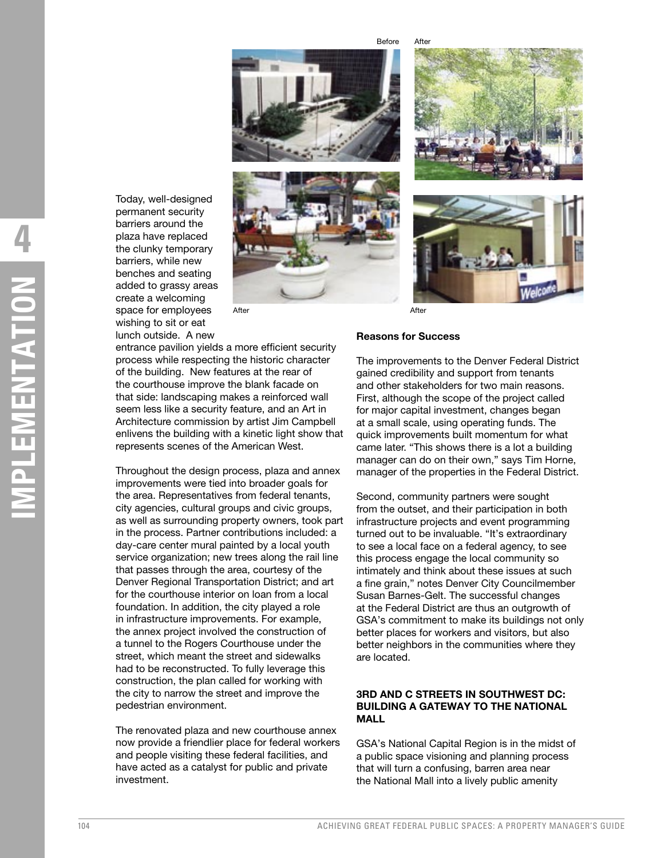Before After





Today, well-designed permanent security barriers around the plaza have replaced the clunky temporary barriers, while new benches and seating added to grassy areas create a welcoming space for employees wishing to sit or eat lunch outside. A new

After After After After After

# **Reasons for Success**

entrance pavilion yields a more efficient security process while respecting the historic character of the building. New features at the rear of the courthouse improve the blank facade on that side: landscaping makes a reinforced wall seem less like a security feature, and an Art in Architecture commission by artist Jim Campbell enlivens the building with a kinetic light show that represents scenes of the American West.

Throughout the design process, plaza and annex improvements were tied into broader goals for the area. Representatives from federal tenants, city agencies, cultural groups and civic groups, as well as surrounding property owners, took part in the process. Partner contributions included: a day-care center mural painted by a local youth service organization; new trees along the rail line that passes through the area, courtesy of the Denver Regional Transportation District; and art for the courthouse interior on loan from a local foundation. In addition, the city played a role in infrastructure improvements. For example, the annex project involved the construction of a tunnel to the Rogers Courthouse under the street, which meant the street and sidewalks had to be reconstructed. To fully leverage this construction, the plan called for working with the city to narrow the street and improve the pedestrian environment.

The renovated plaza and new courthouse annex now provide a friendlier place for federal workers and people visiting these federal facilities, and have acted as a catalyst for public and private investment.

The improvements to the Denver Federal District gained credibility and support from tenants and other stakeholders for two main reasons. First, although the scope of the project called for major capital investment, changes began at a small scale, using operating funds. The quick improvements built momentum for what came later. "This shows there is a lot a building manager can do on their own," says Tim Horne, manager of the properties in the Federal District.

Second, community partners were sought from the outset, and their participation in both infrastructure projects and event programming turned out to be invaluable. "It's extraordinary to see a local face on a federal agency, to see this process engage the local community so intimately and think about these issues at such a fine grain," notes Denver City Councilmember Susan Barnes-Gelt. The successful changes at the Federal District are thus an outgrowth of GSA's commitment to make its buildings not only better places for workers and visitors, but also better neighbors in the communities where they are located.

#### **3RD AND C STREETS IN SOUTHWEST DC: BUILDING A GATEWAY TO THE NATIONAL MALL**

GSA's National Capital Region is in the midst of a public space visioning and planning process that will turn a confusing, barren area near the National Mall into a lively public amenity